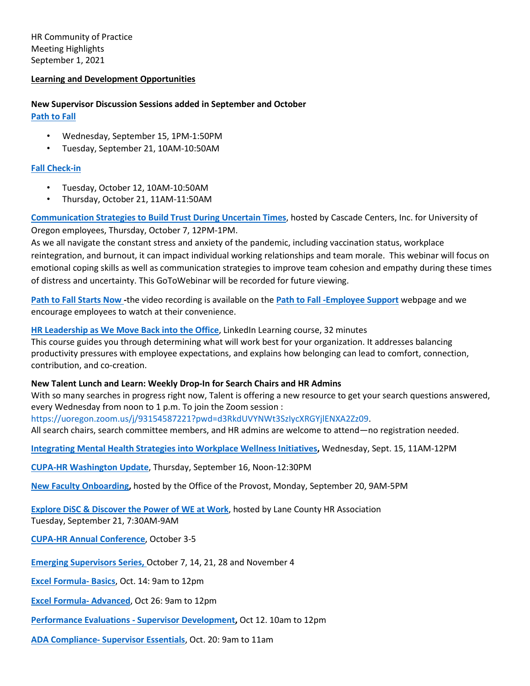HR Community of Practice Meeting Highlights September 1, 2021

### **Learning and Development Opportunities**

**New Supervisor Discussion Sessions added in September and October [Path to Fall](https://uomytrack.pageuppeople.com/learning/3207)** 

- Wednesday, September 15, 1PM-1:50PM
- Tuesday, September 21, 10AM-10:50AM

### **[Fall Check-in](https://uomytrack.pageuppeople.com/learning/3248)**

- Tuesday, October 12, 10AM-10:50AM
- Thursday, October 21, 11AM-11:50AM

**[Communication Strategies to Build Trust During Uncertain Times](https://attendee.gotowebinar.com/register/7349316457376837904)**, hosted by Cascade Centers, Inc. for University of Oregon employees, Thursday, October 7, 12PM-1PM.

As we all navigate the constant stress and anxiety of the pandemic, including vaccination status, workplace reintegration, and burnout, it can impact individual working relationships and team morale. This webinar will focus on emotional coping skills as well as communication strategies to improve team cohesion and empathy during these times of distress and uncertainty. This GoToWebinar will be recorded for future viewing.

**[Path to Fall Starts Now -](https://hr.uoregon.edu/programs-services/covid-19-resources/path-fall-employee-support)**the video recording is available on the **[Path to Fall -Employee Support](https://hr.uoregon.edu/programs-services/covid-19-resources/path-fall-employee-support)** webpage and we encourage employees to watch at their convenience.

**[HR Leadership as We Move Back into the Office](https://www.linkedin.com/learning-login/share?account=68269554&forceAccount=false&redirect=https%3A%2F%2Fwww%2Elinkedin%2Ecom%2Flearning%2Fhr-leadership-as-we-move-back-into-the-office%2Fembracing-possibilities-as-we-return-to-work&shareId=a3e0b2cd-7188-431c-a667-d14065b8c246)**, LinkedIn Learning course, 32 minutes This course guides you through determining what will work best for your organization. It addresses balancing productivity pressures with employee expectations, and explains how belonging can lead to comfort, connection, contribution, and co-creation.

#### **New Talent Lunch and Learn: Weekly Drop-In for Search Chairs and HR Admins**

With so many searches in progress right now, Talent is offering a new resource to get your search questions answered, every Wednesday from noon to 1 p.m. To join the Zoom session :

https://uoregon.zoom.us/j/93154587221?pwd=d3RkdUVYNWt3SzIycXRGYjlENXA2Zz09.

All search chairs, search committee members, and HR admins are welcome to attend—no registration needed.

**[Integrating Mental Health Strategies into Workplace Wellness Initiatives,](https://cascadecenters.com/index.php?exturl=420EEcurl99)** Wednesday, Sept. 15, 11AM-12PM

**[CUPA-HR Washington Update](https://urldefense.com/v3/__http:/CUPAHR.informz.net/z/cjUucD9taT0xMDE3Mjc3NiZwPTEmdT0xMDY4MzQ0NzUxJmxpPTg4ODkwODUw/index.html__;!!C5qS4YX3!QuO2ENtD-9FE5fJWEtRB4XG_jkkJpOjSKZ6cO6U_AkUQkwnlGf1jPgazjB89UEH9gg$)**, Thursday, September 16, Noon-12:30PM

**[New Faculty Onboarding,](https://uomytrack.pageuppeople.com/learning/3213)** hosted by the Office of the Provost, Monday, September 20, 9AM-5PM

**[Explore DiSC](https://www.eventbrite.com/e/lchra-sept-2021-explore-disc-discover-the-power-of-we-in-the-workplace-tickets-168112981453) [& Discover the Power of WE at Work](https://www.eventbrite.com/e/lchra-sept-2021-explore-disc-discover-the-power-of-we-in-the-workplace-tickets-168112981453)**, hosted by Lane County HR Association Tuesday, September 21, 7:30AM-9AM

**[CUPA-HR Annual Conference](https://conferences.cupahr.org/annual2021/)**, October 3-5

**[Emerging Supervisors Series,](https://uomytrack.pageuppeople.com/learning/3193)** October 7, 14, 21, 28 and November 4

**[Excel Formula-](https://uomytrack.pageuppeople.com/learning/2558) Basics**, Oct. 14: 9am to 12pm

**[Excel Formula-](https://uomytrack.pageuppeople.com/learning/1742) Advanced**, Oct 26: 9am to 12pm

**[Performance Evaluations -](https://uomytrack.pageuppeople.com/learning/2440/timeslot/281621) Supervisor Development,** Oct 12. 10am to 12pm

**ADA Compliance- [Supervisor Essentials](https://uomytrack.pageuppeople.com/learning/2704/timeslot/281617)**, Oct. 20: 9am to 11am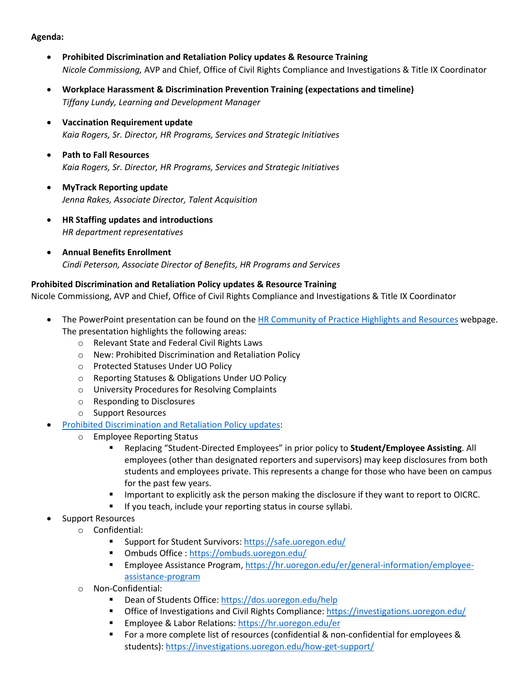## **Agenda:**

- **Prohibited Discrimination and Retaliation Policy updates & Resource Training** *Nicole Commissiong,* AVP and Chief, Office of Civil Rights Compliance and Investigations & Title IX Coordinator
- **Workplace Harassment & Discrimination Prevention Training (expectations and timeline)** *Tiffany Lundy, Learning and Development Manager*
- **Vaccination Requirement update** *Kaia Rogers, Sr. Director, HR Programs, Services and Strategic Initiatives*
- **Path to Fall Resources** *Kaia Rogers, Sr. Director, HR Programs, Services and Strategic Initiatives*
- **MyTrack Reporting update** *Jenna Rakes, Associate Director, Talent Acquisition*
- **HR Staffing updates and introductions** *HR department representatives*
- **Annual Benefits Enrollment** *Cindi Peterson, Associate Director of Benefits, HR Programs and Services*

# **Prohibited Discrimination and Retaliation Policy updates & Resource Training**

Nicole Commissiong, AVP and Chief, Office of Civil Rights Compliance and Investigations & Title IX Coordinator

- The PowerPoint presentation can be found on the [HR Community of Practice Highlights and Resources](https://hr.uoregon.edu/hr-partners/meeting-highlights-resources) webpage. The presentation highlights the following areas:
	- o Relevant State and Federal Civil Rights Laws
	- o New: Prohibited Discrimination and Retaliation Policy
	- o Protected Statuses Under UO Policy
	- o Reporting Statuses & Obligations Under UO Policy
	- o University Procedures for Resolving Complaints
	- o Responding to Disclosures
	- o Support Resources
	- [Prohibited Discrimination and Retaliation Policy updates:](https://investigations.uoregon.edu/policies)
		- o Employee Reporting Status
			- Replacing "Student-Directed Employees" in prior policy to **Student/Employee Assisting**. All employees (other than designated reporters and supervisors) may keep disclosures from both students and employees private. This represents a change for those who have been on campus for the past few years.
			- Important to explicitly ask the person making the disclosure if they want to report to OICRC.
			- If you teach, include your reporting status in course syllabi.
- Support Resources
	- o Confidential:
		- Support for Student Survivors:<https://safe.uoregon.edu/>
		- Ombuds Office :<https://ombuds.uoregon.edu/>
		- Employee Assistance Program[, https://hr.uoregon.edu/er/general-information/employee](https://hr.uoregon.edu/er/general-information/employee-assistance-program)[assistance-program](https://hr.uoregon.edu/er/general-information/employee-assistance-program)
	- o Non-Confidential:
		- Dean of Students Office[: https://dos.uoregon.edu/help](https://dos.uoregon.edu/help)
		- Office of Investigations and Civil Rights Compliance:<https://investigations.uoregon.edu/>
		- **Employee & Labor Relations:<https://hr.uoregon.edu/er>gon.edu/ergon.edu/ergon.edu/ergon.edu/ergon.edu/ergon.edu**
		- For a more complete list of resources (confidential & non-confidential for employees & students)[: https://investigations.uoregon.edu/how-get-support/](https://investigations.uoregon.edu/)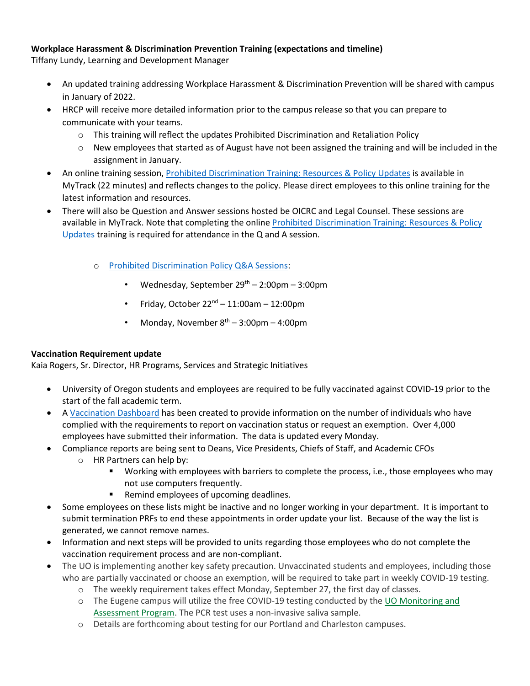# **Workplace Harassment & Discrimination Prevention Training (expectations and timeline)**

Tiffany Lundy, Learning and Development Manager

- An updated training addressing Workplace Harassment & Discrimination Prevention will be shared with campus in January of 2022.
- HRCP will receive more detailed information prior to the campus release so that you can prepare to communicate with your teams.
	- $\circ$  This training will reflect the updates Prohibited Discrimination and Retaliation Policy
	- o New employees that started as of August have not been assigned the training and will be included in the assignment in January.
- An online training session, [Prohibited Discrimination Training: Resources & Policy Updates](https://uomytrack.pageuppeople.com/learning/3241) is available in MyTrack (22 minutes) and reflects changes to the policy. Please direct employees to this online training for the latest information and resources.
- There will also be Question and Answer sessions hosted be OICRC and Legal Counsel. These sessions are available in MyTrack. Note that completing the onlin[e Prohibited Discrimination Training: Resources & Policy](https://uomytrack.pageuppeople.com/learning/3241)  [Updates](https://uomytrack.pageuppeople.com/learning/3241) training is required for attendance in the Q and A session.
	- o [Prohibited Discrimination Policy Q&A Sessions:](https://uomytrack.pageuppeople.com/learning/3249)
		- Wednesday, September  $29<sup>th</sup> 2:00$ pm 3:00pm
		- Friday, October  $22^{nd}$  11:00am 12:00pm
		- Monday, November  $8^{th}$  3:00pm 4:00pm

# **Vaccination Requirement update**

Kaia Rogers, Sr. Director, HR Programs, Services and Strategic Initiatives

- University of Oregon students and employees are required to be fully vaccinated against COVID-19 prior to the start of the fall academic term.
- A [Vaccination Dashboard](https://coronavirus.uoregon.edu/vaccination-dashboard) has been created to provide information on the number of individuals who have complied with the requirements to report on vaccination status or request an exemption. Over 4,000 employees have submitted their information. The data is updated every Monday.
- Compliance reports are being sent to Deans, Vice Presidents, Chiefs of Staff, and Academic CFOs
	- o HR Partners can help by:
		- Working with employees with barriers to complete the process, i.e., those employees who may not use computers frequently.
		- **Remind employees of upcoming deadlines.**
- Some employees on these lists might be inactive and no longer working in your department. It is important to submit termination PRFs to end these appointments in order update your list. Because of the way the list is generated, we cannot remove names.
- Information and next steps will be provided to units regarding those employees who do not complete the vaccination requirement process and are non-compliant.
- The UO is implementing another key safety precaution. Unvaccinated students and employees, including those who are partially vaccinated or choose an exemption, will be required to take part in weekly COVID-19 testing.
	- o The weekly requirement takes effect Monday, September 27, the first day of classes.
	- o The Eugene campus will utilize the free COVID-19 testing conducted by th[e UO Monitoring and](https://urldefense.com/v3/__https:/t.e2ma.net/click/8vlc3e/ochc6g/s7vrpy__;!!C5qS4YX3!VPnJl98ORdnpBeo4zdOnpP39smmgItNyNZf9c1vVv-EnV_uoG3H7J6EOf1uCSh2Wpg$)  [Assessment Program.](https://urldefense.com/v3/__https:/t.e2ma.net/click/8vlc3e/ochc6g/s7vrpy__;!!C5qS4YX3!VPnJl98ORdnpBeo4zdOnpP39smmgItNyNZf9c1vVv-EnV_uoG3H7J6EOf1uCSh2Wpg$) The PCR test uses a non-invasive saliva sample.
	- o Details are forthcoming about testing for our Portland and Charleston campuses.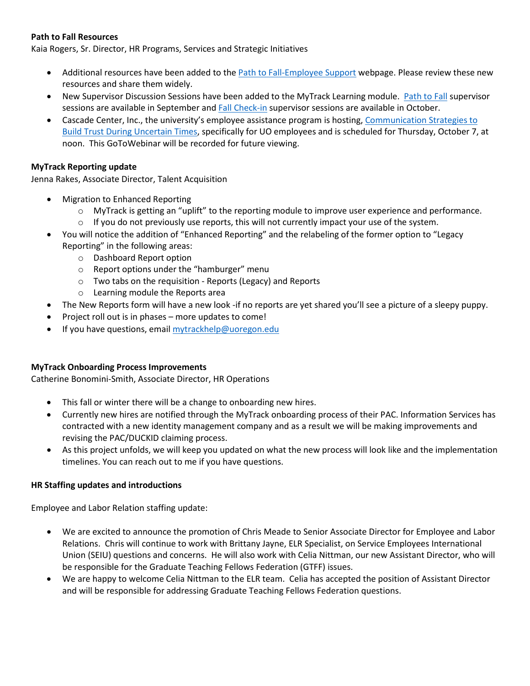## **Path to Fall Resources**

Kaia Rogers, Sr. Director, HR Programs, Services and Strategic Initiatives

- Additional resources have been added to the [Path to Fall-Employee Support](https://hr.uoregon.edu/programs-services/covid-19-resources/path-fall-employee-support) webpage. Please review these new resources and share them widely.
- New Supervisor Discussion Sessions have been added to the MyTrack Learning module. [Path to Fall](https://uomytrack.pageuppeople.com/learning/3207) supervisor sessions are available in September and Fall [Check-in](https://uomytrack.pageuppeople.com/learning/3248) supervisor sessions are available in October.
- Cascade Center, Inc., the university's employee assistance program is hosting, [Communication Strategies to](https://urldefense.com/v3/__https:/attendee.gotowebinar.com/register/7349316457376837904__;!!C5qS4YX3!STGjwLdQoDFexwKDibPVYoB-_7cS9eAYwHMq2JBGFJB_qu5pCLosIA-Ki-FqfSHEEA$)  [Build Trust During Uncertain Times,](https://urldefense.com/v3/__https:/attendee.gotowebinar.com/register/7349316457376837904__;!!C5qS4YX3!STGjwLdQoDFexwKDibPVYoB-_7cS9eAYwHMq2JBGFJB_qu5pCLosIA-Ki-FqfSHEEA$) specifically for UO employees and is scheduled for Thursday, October 7, at noon. This GoToWebinar will be recorded for future viewing.

### **MyTrack Reporting update**

Jenna Rakes, Associate Director, Talent Acquisition

- Migration to Enhanced Reporting
	- $\circ$  MyTrack is getting an "uplift" to the reporting module to improve user experience and performance.
	- $\circ$  If you do not previously use reports, this will not currently impact your use of the system.
- You will notice the addition of "Enhanced Reporting" and the relabeling of the former option to "Legacy Reporting" in the following areas:
	- o Dashboard Report option
	- o Report options under the "hamburger" menu
	- o Two tabs on the requisition Reports (Legacy) and Reports
	- o Learning module the Reports area
- The New Reports form will have a new look -if no reports are yet shared you'll see a picture of a sleepy puppy.
- Project roll out is in phases more updates to come!
- If you have questions, email [mytrackhelp@uoregon.edu](mailto:mytrackhelp@uoregon.edu)

#### **MyTrack Onboarding Process Improvements**

Catherine Bonomini-Smith, Associate Director, HR Operations

- This fall or winter there will be a change to onboarding new hires.
- Currently new hires are notified through the MyTrack onboarding process of their PAC. Information Services has contracted with a new identity management company and as a result we will be making improvements and revising the PAC/DUCKID claiming process.
- As this project unfolds, we will keep you updated on what the new process will look like and the implementation timelines. You can reach out to me if you have questions.

#### **HR Staffing updates and introductions**

Employee and Labor Relation staffing update:

- We are excited to announce the promotion of Chris Meade to Senior Associate Director for Employee and Labor Relations. Chris will continue to work with Brittany Jayne, ELR Specialist, on Service Employees International Union (SEIU) questions and concerns. He will also work with Celia Nittman, our new Assistant Director, who will be responsible for the Graduate Teaching Fellows Federation (GTFF) issues.
- We are happy to welcome Celia Nittman to the ELR team. Celia has accepted the position of Assistant Director and will be responsible for addressing Graduate Teaching Fellows Federation questions.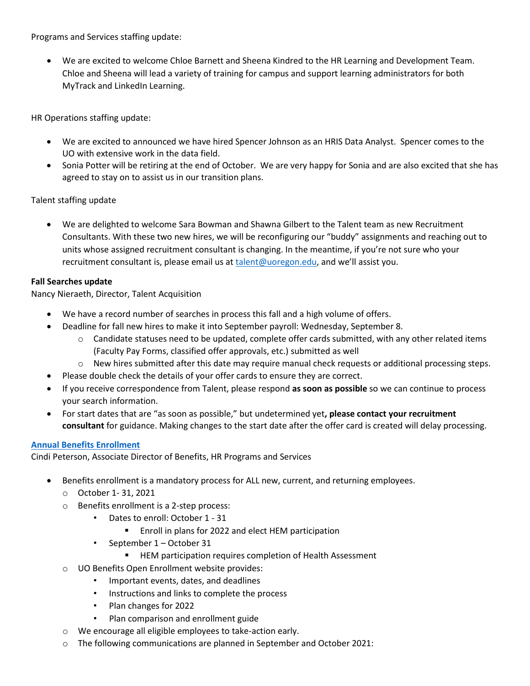Programs and Services staffing update:

• We are excited to welcome Chloe Barnett and Sheena Kindred to the HR Learning and Development Team. Chloe and Sheena will lead a variety of training for campus and support learning administrators for both MyTrack and LinkedIn Learning.

HR Operations staffing update:

- We are excited to announced we have hired Spencer Johnson as an HRIS Data Analyst. Spencer comes to the UO with extensive work in the data field.
- Sonia Potter will be retiring at the end of October. We are very happy for Sonia and are also excited that she has agreed to stay on to assist us in our transition plans.

Talent staffing update

• We are delighted to welcome Sara Bowman and Shawna Gilbert to the Talent team as new Recruitment Consultants. With these two new hires, we will be reconfiguring our "buddy" assignments and reaching out to units whose assigned recruitment consultant is changing. In the meantime, if you're not sure who your recruitment consultant is, please email us at [talent@uoregon.edu,](mailto:talent@uoregon.edu) and we'll assist you.

## **Fall Searches update**

Nancy Nieraeth, Director, Talent Acquisition

- We have a record number of searches in process this fall and a high volume of offers.
	- Deadline for fall new hires to make it into September payroll: Wednesday, September 8.
		- $\circ$  Candidate statuses need to be updated, complete offer cards submitted, with any other related items (Faculty Pay Forms, classified offer approvals, etc.) submitted as well
		- $\circ$  New hires submitted after this date may require manual check requests or additional processing steps.
- Please double check the details of your offer cards to ensure they are correct.
- If you receive correspondence from Talent, please respond **as soon as possible** so we can continue to process your search information.
- For start dates that are "as soon as possible," but undetermined yet**, please contact your recruitment consultant** for guidance. Making changes to the start date after the offer card is created will delay processing.

## **[Annual Benefits Enrollment](https://hr.uoregon.edu/benefits/benefits-annual-open-enrollment)**

Cindi Peterson, Associate Director of Benefits, HR Programs and Services

- Benefits enrollment is a mandatory process for ALL new, current, and returning employees.
	- o October 1- 31, 2021
	- o Benefits enrollment is a 2-step process:
		- Dates to enroll: October 1 31
			- **EXECTE 10** Enroll in plans for 2022 and elect HEM participation
		- September 1 October 31
			- **HEM participation requires completion of Health Assessment**
	- o UO Benefits Open Enrollment website provides:
		- Important events, dates, and deadlines
		- Instructions and links to complete the process
		- Plan changes for 2022
		- Plan comparison and enrollment guide
	- o We encourage all eligible employees to take-action early.
	- o The following communications are planned in September and October 2021: